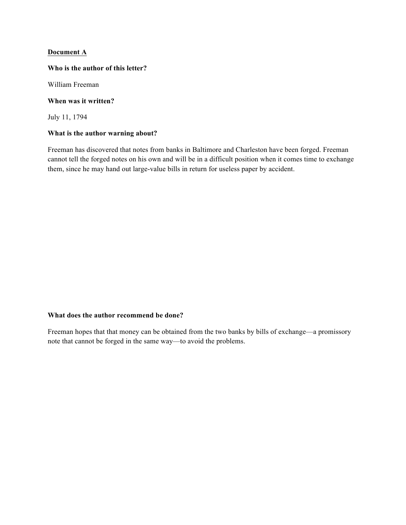# **Document A**

### **Who is the author of this letter?**

William Freeman

### **When was it written?**

July 11, 1794

### **What is the author warning about?**

Freeman has discovered that notes from banks in Baltimore and Charleston have been forged. Freeman cannot tell the forged notes on his own and will be in a difficult position when it comes time to exchange them, since he may hand out large-value bills in return for useless paper by accident.

# **What does the author recommend be done?**

Freeman hopes that that money can be obtained from the two banks by bills of exchange—a promissory note that cannot be forged in the same way—to avoid the problems.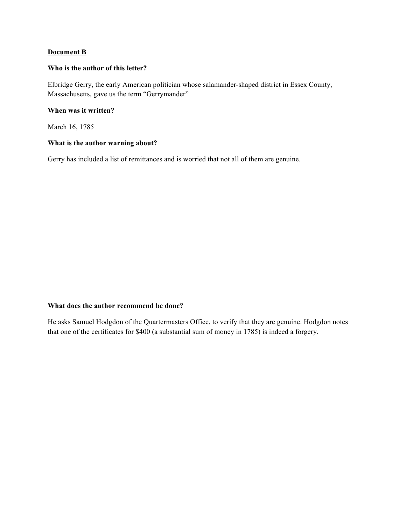# **Document B**

### **Who is the author of this letter?**

Elbridge Gerry, the early American politician whose salamander-shaped district in Essex County, Massachusetts, gave us the term "Gerrymander"

# **When was it written?**

March 16, 1785

### **What is the author warning about?**

Gerry has included a list of remittances and is worried that not all of them are genuine.

# **What does the author recommend be done?**

He asks Samuel Hodgdon of the Quartermasters Office, to verify that they are genuine. Hodgdon notes that one of the certificates for \$400 (a substantial sum of money in 1785) is indeed a forgery.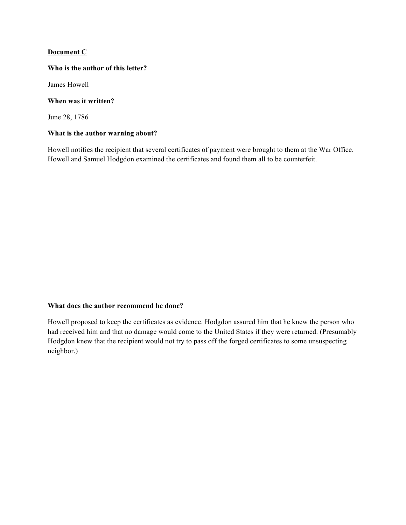# **Document C**

### **Who is the author of this letter?**

James Howell

### **When was it written?**

June 28, 1786

# **What is the author warning about?**

Howell notifies the recipient that several certificates of payment were brought to them at the War Office. Howell and Samuel Hodgdon examined the certificates and found them all to be counterfeit.

# **What does the author recommend be done?**

Howell proposed to keep the certificates as evidence. Hodgdon assured him that he knew the person who had received him and that no damage would come to the United States if they were returned. (Presumably Hodgdon knew that the recipient would not try to pass off the forged certificates to some unsuspecting neighbor.)